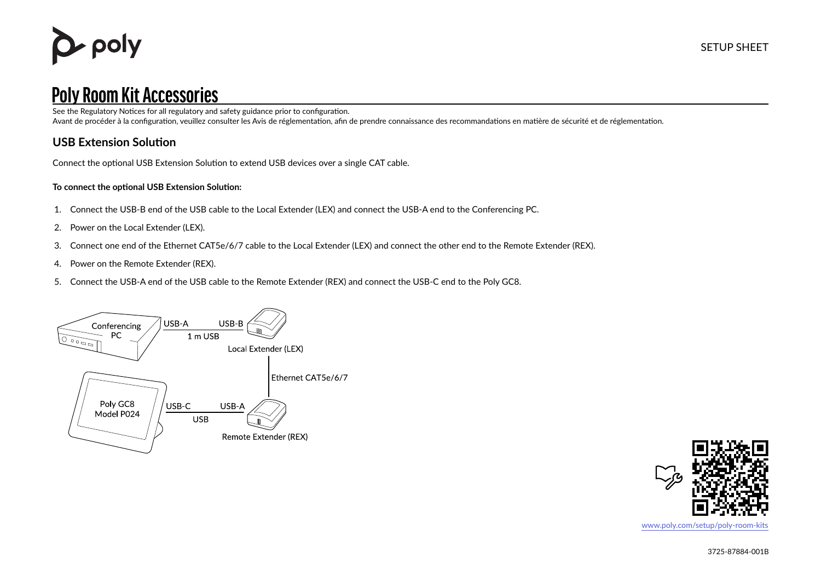

# **Poly Room Kit Accessories**

See the Regulatory Notices for all regulatory and safety guidance prior to configuration. Avant de procéder à la configuration, veuillez consulter les Avis de réglementation, afin de prendre connaissance des recommandations en matière de sécurité et de réglementation.

## **USB Extension Solution**

Connect the optional USB Extension Solution to extend USB devices over a single CAT cable.

#### **To connect the optional USB Extension Solution:**

- 1. Connect the USB-B end of the USB cable to the Local Extender (LEX) and connect the USB-A end to the Conferencing PC.
- 2. Power on the Local Extender (LEX).
- 3. Connect one end of the Ethernet CAT5e/6/7 cable to the Local Extender (LEX) and connect the other end to the Remote Extender (REX).
- 4. Power on the Remote Extender (REX).
- 5. Connect the USB-A end of the USB cable to the Remote Extender (REX) and connect the USB-C end to the Poly GC8.





<www.poly.com/setup/poly-room-kits>